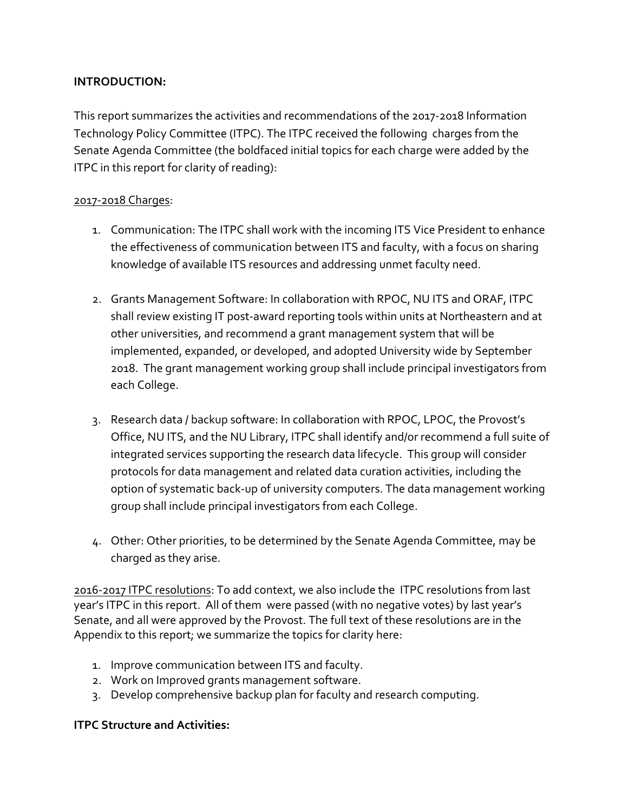#### **INTRODUCTION:**

This report summarizes the activities and recommendations of the 2017-2018 Information Technology Policy Committee (ITPC). The ITPC received the following charges from the Senate Agenda Committee (the boldfaced initial topics for each charge were added by the ITPC in this report for clarity of reading):

#### 2017-2018 Charges:

- 1. Communication: The ITPC shall work with the incoming ITS Vice President to enhance the effectiveness of communication between ITS and faculty, with a focus on sharing knowledge of available ITS resources and addressing unmet faculty need.
- 2. Grants Management Software: In collaboration with RPOC, NU ITS and ORAF, ITPC shall review existing IT post-award reporting tools within units at Northeastern and at other universities, and recommend a grant management system that will be implemented, expanded, or developed, and adopted University wide by September 2018. The grant management working group shall include principal investigators from each College.
- 3. Research data / backup software: In collaboration with RPOC, LPOC, the Provost's Office, NU ITS, and the NU Library, ITPC shall identify and/or recommend a full suite of integrated services supporting the research data lifecycle. This group will consider protocols for data management and related data curation activities, including the option of systematic back-up of university computers. The data management working group shall include principal investigators from each College.
- 4. Other: Other priorities, to be determined by the Senate Agenda Committee, may be charged as they arise.

2016-2017 ITPC resolutions: To add context, we also include the ITPC resolutions from last year's ITPC in this report. All of them were passed (with no negative votes) by last year's Senate, and all were approved by the Provost. The full text of these resolutions are in the Appendix to this report; we summarize the topics for clarity here:

- 1. Improve communication between ITS and faculty.
- 2. Work on Improved grants management software.
- 3. Develop comprehensive backup plan for faculty and research computing.

# **ITPC Structure and Activities:**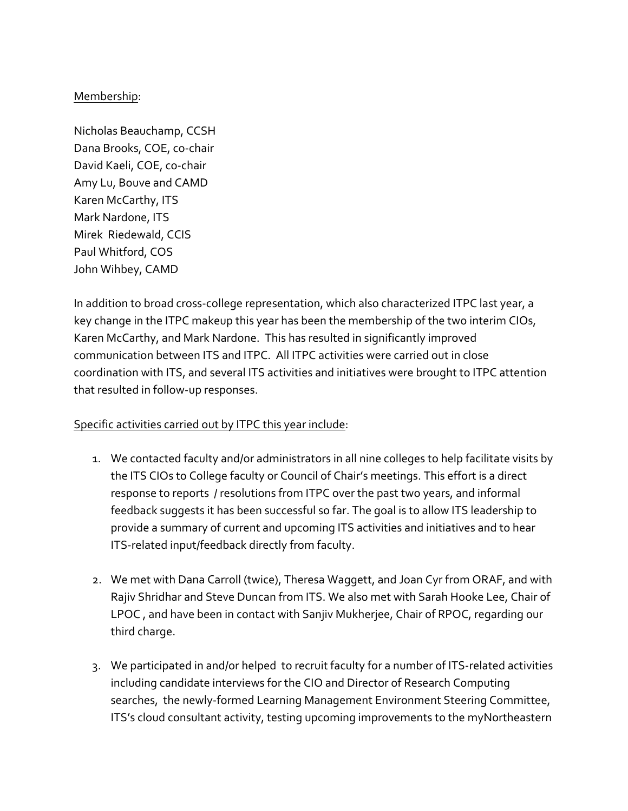#### Membership:

Nicholas Beauchamp, CCSH Dana Brooks, COE, co-chair David Kaeli, COE, co-chair Amy Lu, Bouve and CAMD Karen McCarthy, ITS Mark Nardone, ITS Mirek Riedewald, CCIS Paul Whitford, COS John Wihbey, CAMD

In addition to broad cross-college representation, which also characterized ITPC last year, a key change in the ITPC makeup this year has been the membership of the two interim CIOs, Karen McCarthy, and Mark Nardone. This has resulted in significantly improved communication between ITS and ITPC. All ITPC activities were carried out in close coordination with ITS, and several ITS activities and initiatives were brought to ITPC attention that resulted in follow-up responses.

# Specific activities carried out by ITPC this year include:

- 1. We contacted faculty and/or administrators in all nine colleges to help facilitate visits by the ITS CIOs to College faculty or Council of Chair's meetings. This effort is a direct response to reports / resolutions from ITPC over the past two years, and informal feedback suggests it has been successful so far. The goal is to allow ITS leadership to provide a summary of current and upcoming ITS activities and initiatives and to hear ITS-related input/feedback directly from faculty.
- 2. We met with Dana Carroll (twice), Theresa Waggett, and Joan Cyr from ORAF, and with Rajiv Shridhar and Steve Duncan from ITS. We also met with Sarah Hooke Lee, Chair of LPOC, and have been in contact with Sanjiv Mukherjee, Chair of RPOC, regarding our third charge.
- 3. We participated in and/or helped to recruit faculty for a number of ITS-related activities including candidate interviews for the CIO and Director of Research Computing searches, the newly-formed Learning Management Environment Steering Committee, ITS's cloud consultant activity, testing upcoming improvements to the myNortheastern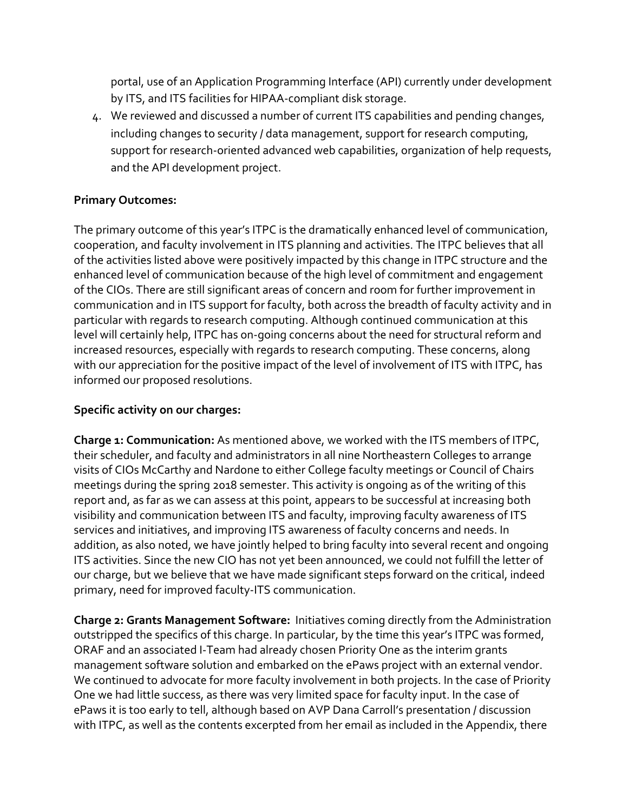portal, use of an Application Programming Interface (API) currently under development by ITS, and ITS facilities for HIPAA-compliant disk storage.

4. We reviewed and discussed a number of current ITS capabilities and pending changes, including changes to security / data management, support for research computing, support for research-oriented advanced web capabilities, organization of help requests, and the API development project.

# **Primary Outcomes:**

The primary outcome of this year's ITPC is the dramatically enhanced level of communication, cooperation, and faculty involvement in ITS planning and activities. The ITPC believes that all of the activities listed above were positively impacted by this change in ITPC structure and the enhanced level of communication because of the high level of commitment and engagement of the CIOs. There are still significant areas of concern and room for further improvement in communication and in ITS support for faculty, both across the breadth of faculty activity and in particular with regards to research computing. Although continued communication at this level will certainly help, ITPC has on-going concerns about the need for structural reform and increased resources, especially with regards to research computing. These concerns, along with our appreciation for the positive impact of the level of involvement of ITS with ITPC, has informed our proposed resolutions.

# **Specific activity on our charges:**

**Charge 1: Communication:** As mentioned above, we worked with the ITS members of ITPC, their scheduler, and faculty and administrators in all nine Northeastern Colleges to arrange visits of CIOs McCarthy and Nardone to either College faculty meetings or Council of Chairs meetings during the spring 2018 semester. This activity is ongoing as of the writing of this report and, as far as we can assess at this point, appears to be successful at increasing both visibility and communication between ITS and faculty, improving faculty awareness of ITS services and initiatives, and improving ITS awareness of faculty concerns and needs. In addition, as also noted, we have jointly helped to bring faculty into several recent and ongoing ITS activities. Since the new CIO has not yet been announced, we could not fulfill the letter of our charge, but we believe that we have made significant steps forward on the critical, indeed primary, need for improved faculty-ITS communication.

**Charge 2: Grants Management Software:** Initiatives coming directly from the Administration outstripped the specifics of this charge. In particular, by the time this year's ITPC was formed, ORAF and an associated I-Team had already chosen Priority One as the interim grants management software solution and embarked on the ePaws project with an external vendor. We continued to advocate for more faculty involvement in both projects. In the case of Priority One we had little success, as there was very limited space for faculty input. In the case of ePaws it is too early to tell, although based on AVP Dana Carroll's presentation / discussion with ITPC, as well as the contents excerpted from her email as included in the Appendix, there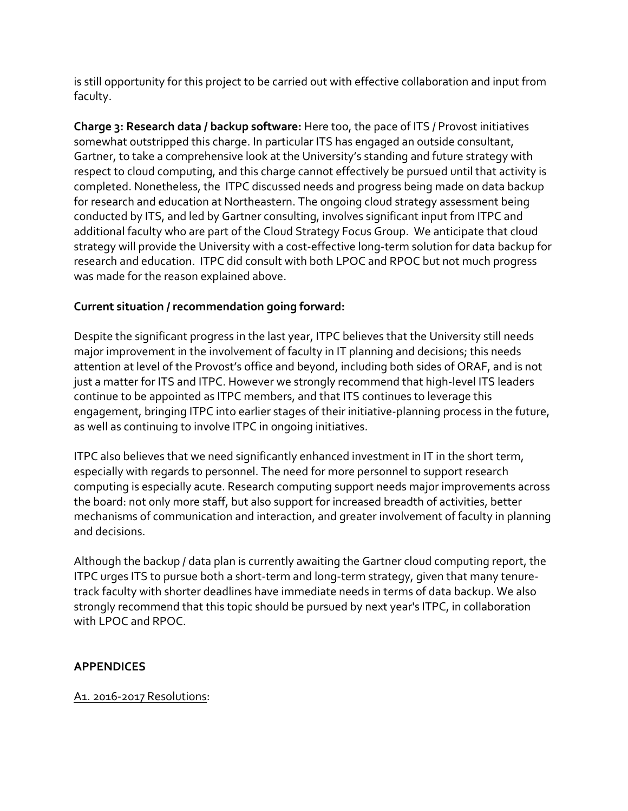is still opportunity for this project to be carried out with effective collaboration and input from faculty.

Charge 3: Research data / backup software: Here too, the pace of ITS / Provost initiatives somewhat outstripped this charge. In particular ITS has engaged an outside consultant, Gartner, to take a comprehensive look at the University's standing and future strategy with respect to cloud computing, and this charge cannot effectively be pursued until that activity is completed. Nonetheless, the ITPC discussed needs and progress being made on data backup for research and education at Northeastern. The ongoing cloud strategy assessment being conducted by ITS, and led by Gartner consulting, involves significant input from ITPC and additional faculty who are part of the Cloud Strategy Focus Group. We anticipate that cloud strategy will provide the University with a cost-effective long-term solution for data backup for research and education. ITPC did consult with both LPOC and RPOC but not much progress was made for the reason explained above.

# **Current situation / recommendation going forward:**

Despite the significant progress in the last year, ITPC believes that the University still needs major improvement in the involvement of faculty in IT planning and decisions; this needs attention at level of the Provost's office and beyond, including both sides of ORAF, and is not just a matter for ITS and ITPC. However we strongly recommend that high-level ITS leaders continue to be appointed as ITPC members, and that ITS continues to leverage this engagement, bringing ITPC into earlier stages of their initiative-planning process in the future, as well as continuing to involve ITPC in ongoing initiatives.

ITPC also believes that we need significantly enhanced investment in IT in the short term, especially with regards to personnel. The need for more personnel to support research computing is especially acute. Research computing support needs major improvements across the board: not only more staff, but also support for increased breadth of activities, better mechanisms of communication and interaction, and greater involvement of faculty in planning and decisions.

Although the backup / data plan is currently awaiting the Gartner cloud computing report, the ITPC urges ITS to pursue both a short-term and long-term strategy, given that many tenuretrack faculty with shorter deadlines have immediate needs in terms of data backup. We also strongly recommend that this topic should be pursued by next year's ITPC, in collaboration with LPOC and RPOC.

# **APPENDICES**

A1. 2016-2017 Resolutions: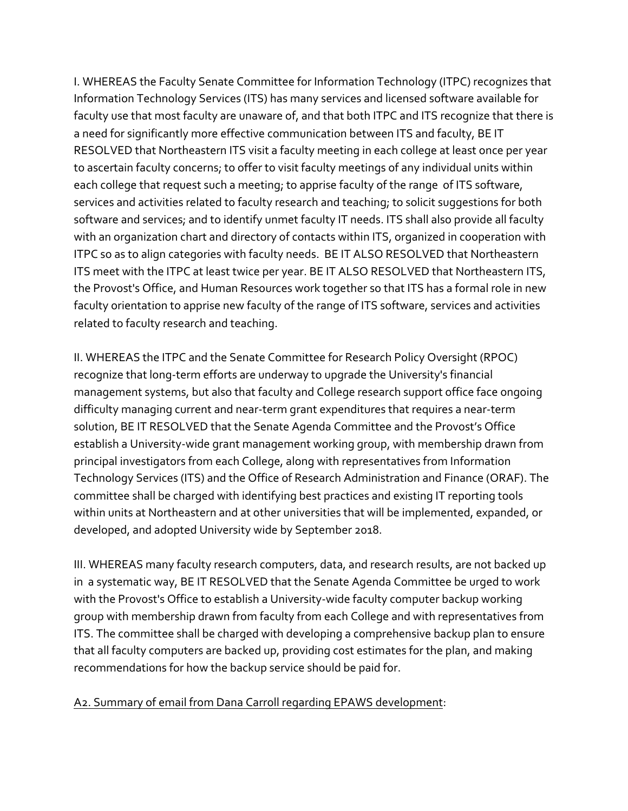I. WHEREAS the Faculty Senate Committee for Information Technology (ITPC) recognizes that Information Technology Services (ITS) has many services and licensed software available for faculty use that most faculty are unaware of, and that both ITPC and ITS recognize that there is a need for significantly more effective communication between ITS and faculty, BE IT RESOLVED that Northeastern ITS visit a faculty meeting in each college at least once per year to ascertain faculty concerns; to offer to visit faculty meetings of any individual units within each college that request such a meeting; to apprise faculty of the range of ITS software, services and activities related to faculty research and teaching; to solicit suggestions for both software and services; and to identify unmet faculty IT needs. ITS shall also provide all faculty with an organization chart and directory of contacts within ITS, organized in cooperation with ITPC so as to align categories with faculty needs. BE IT ALSO RESOLVED that Northeastern ITS meet with the ITPC at least twice per year. BE IT ALSO RESOLVED that Northeastern ITS, the Provost's Office, and Human Resources work together so that ITS has a formal role in new faculty orientation to apprise new faculty of the range of ITS software, services and activities related to faculty research and teaching.

II. WHEREAS the ITPC and the Senate Committee for Research Policy Oversight (RPOC) recognize that long-term efforts are underway to upgrade the University's financial management systems, but also that faculty and College research support office face ongoing difficulty managing current and near-term grant expenditures that requires a near-term solution, BE IT RESOLVED that the Senate Agenda Committee and the Provost's Office establish a University-wide grant management working group, with membership drawn from principal investigators from each College, along with representatives from Information Technology Services (ITS) and the Office of Research Administration and Finance (ORAF). The committee shall be charged with identifying best practices and existing IT reporting tools within units at Northeastern and at other universities that will be implemented, expanded, or developed, and adopted University wide by September 2018.

III. WHEREAS many faculty research computers, data, and research results, are not backed up in a systematic way, BE IT RESOLVED that the Senate Agenda Committee be urged to work with the Provost's Office to establish a University-wide faculty computer backup working group with membership drawn from faculty from each College and with representatives from ITS. The committee shall be charged with developing a comprehensive backup plan to ensure that all faculty computers are backed up, providing cost estimates for the plan, and making recommendations for how the backup service should be paid for.

# A2. Summary of email from Dana Carroll regarding EPAWS development: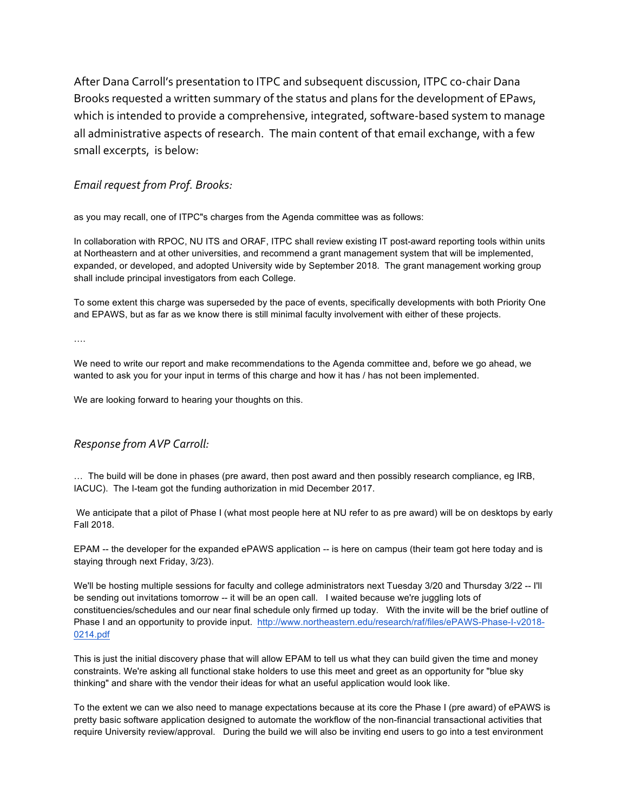After Dana Carroll's presentation to ITPC and subsequent discussion, ITPC co-chair Dana Brooks requested a written summary of the status and plans for the development of EPaws, which is intended to provide a comprehensive, integrated, software-based system to manage all administrative aspects of research. The main content of that email exchange, with a few small excerpts, is below:

#### *Email request from Prof. Brooks:*

as you may recall, one of ITPC"s charges from the Agenda committee was as follows:

In collaboration with RPOC, NU ITS and ORAF, ITPC shall review existing IT post-award reporting tools within units at Northeastern and at other universities, and recommend a grant management system that will be implemented, expanded, or developed, and adopted University wide by September 2018. The grant management working group shall include principal investigators from each College.

To some extent this charge was superseded by the pace of events, specifically developments with both Priority One and EPAWS, but as far as we know there is still minimal faculty involvement with either of these projects.

….

We need to write our report and make recommendations to the Agenda committee and, before we go ahead, we wanted to ask you for your input in terms of this charge and how it has / has not been implemented.

We are looking forward to hearing your thoughts on this.

#### *Response from AVP Carroll:*

… The build will be done in phases (pre award, then post award and then possibly research compliance, eg IRB, IACUC). The I-team got the funding authorization in mid December 2017.

We anticipate that a pilot of Phase I (what most people here at NU refer to as pre award) will be on desktops by early Fall 2018.

EPAM -- the developer for the expanded ePAWS application -- is here on campus (their team got here today and is staying through next Friday, 3/23).

We'll be hosting multiple sessions for faculty and college administrators next Tuesday 3/20 and Thursday 3/22 -- I'll be sending out invitations tomorrow -- it will be an open call. I waited because we're juggling lots of constituencies/schedules and our near final schedule only firmed up today. With the invite will be the brief outline of Phase I and an opportunity to provide input. http://www.northeastern.edu/research/raf/files/ePAWS-Phase-I-v2018- 0214.pdf

This is just the initial discovery phase that will allow EPAM to tell us what they can build given the time and money constraints. We're asking all functional stake holders to use this meet and greet as an opportunity for "blue sky thinking" and share with the vendor their ideas for what an useful application would look like.

To the extent we can we also need to manage expectations because at its core the Phase I (pre award) of ePAWS is pretty basic software application designed to automate the workflow of the non-financial transactional activities that require University review/approval. During the build we will also be inviting end users to go into a test environment